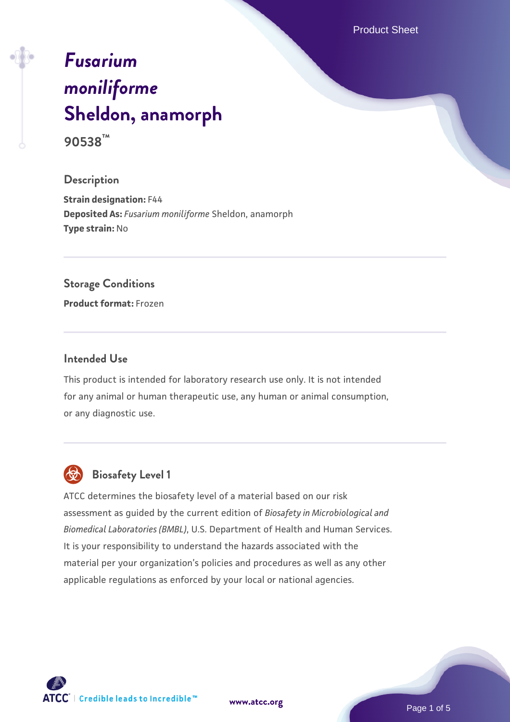Product Sheet

# *[Fusarium](https://www.atcc.org/products/90538) [moniliforme](https://www.atcc.org/products/90538)* **[Sheldon, anamorph](https://www.atcc.org/products/90538)**

**90538™**

#### **Description**

**Strain designation:** F44 **Deposited As:** *Fusarium moniliforme* Sheldon, anamorph **Type strain:** No

#### **Storage Conditions**

**Product format:** Frozen

#### **Intended Use**

This product is intended for laboratory research use only. It is not intended for any animal or human therapeutic use, any human or animal consumption, or any diagnostic use.



# **Biosafety Level 1**

ATCC determines the biosafety level of a material based on our risk assessment as guided by the current edition of *Biosafety in Microbiological and Biomedical Laboratories (BMBL)*, U.S. Department of Health and Human Services. It is your responsibility to understand the hazards associated with the material per your organization's policies and procedures as well as any other applicable regulations as enforced by your local or national agencies.

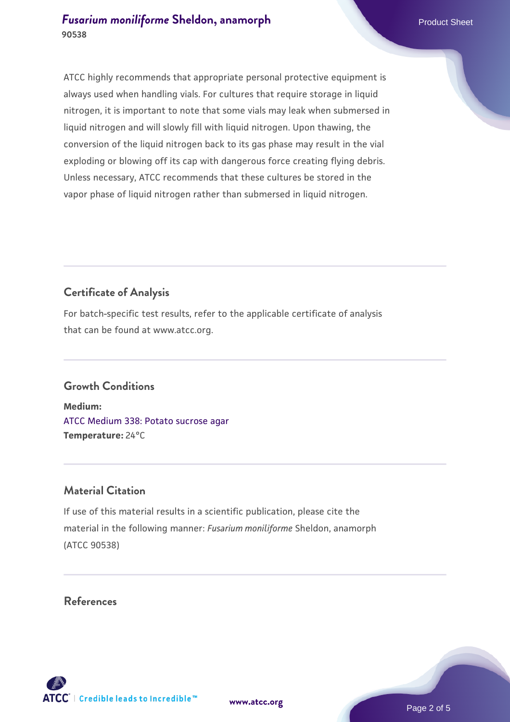ATCC highly recommends that appropriate personal protective equipment is always used when handling vials. For cultures that require storage in liquid nitrogen, it is important to note that some vials may leak when submersed in liquid nitrogen and will slowly fill with liquid nitrogen. Upon thawing, the conversion of the liquid nitrogen back to its gas phase may result in the vial exploding or blowing off its cap with dangerous force creating flying debris. Unless necessary, ATCC recommends that these cultures be stored in the vapor phase of liquid nitrogen rather than submersed in liquid nitrogen.

## **Certificate of Analysis**

For batch-specific test results, refer to the applicable certificate of analysis that can be found at www.atcc.org.

#### **Growth Conditions**

**Medium:**  [ATCC Medium 338: Potato sucrose agar](https://www.atcc.org/-/media/product-assets/documents/microbial-media-formulations/3/3/8/atcc-medium-338.pdf?rev=46546b6f4a85482b856b30458c18db73) **Temperature:** 24°C

#### **Material Citation**

If use of this material results in a scientific publication, please cite the material in the following manner: *Fusarium moniliforme* Sheldon, anamorph (ATCC 90538)

#### **References**

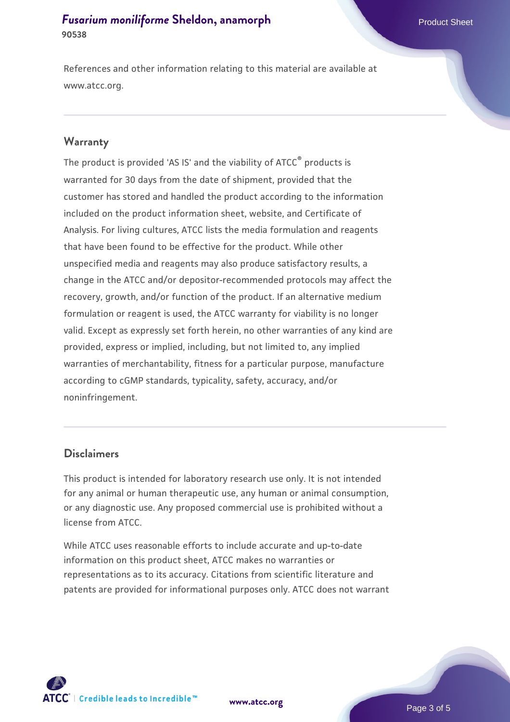References and other information relating to this material are available at www.atcc.org.

#### **Warranty**

The product is provided 'AS IS' and the viability of ATCC® products is warranted for 30 days from the date of shipment, provided that the customer has stored and handled the product according to the information included on the product information sheet, website, and Certificate of Analysis. For living cultures, ATCC lists the media formulation and reagents that have been found to be effective for the product. While other unspecified media and reagents may also produce satisfactory results, a change in the ATCC and/or depositor-recommended protocols may affect the recovery, growth, and/or function of the product. If an alternative medium formulation or reagent is used, the ATCC warranty for viability is no longer valid. Except as expressly set forth herein, no other warranties of any kind are provided, express or implied, including, but not limited to, any implied warranties of merchantability, fitness for a particular purpose, manufacture according to cGMP standards, typicality, safety, accuracy, and/or noninfringement.

#### **Disclaimers**

This product is intended for laboratory research use only. It is not intended for any animal or human therapeutic use, any human or animal consumption, or any diagnostic use. Any proposed commercial use is prohibited without a license from ATCC.

While ATCC uses reasonable efforts to include accurate and up-to-date information on this product sheet, ATCC makes no warranties or representations as to its accuracy. Citations from scientific literature and patents are provided for informational purposes only. ATCC does not warrant

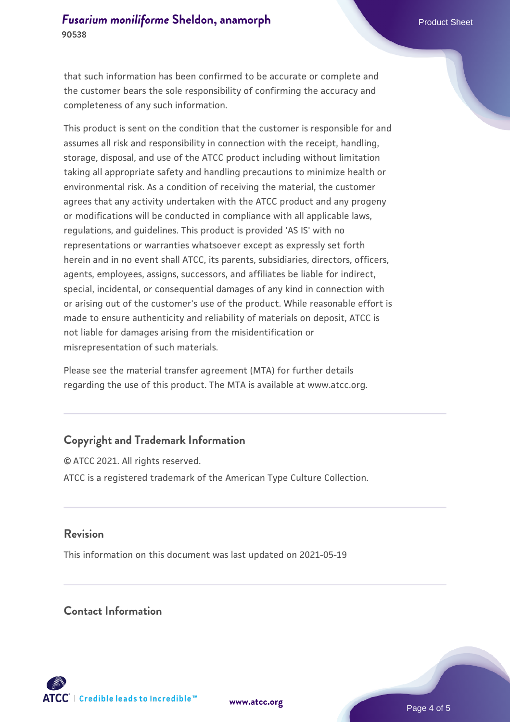that such information has been confirmed to be accurate or complete and the customer bears the sole responsibility of confirming the accuracy and completeness of any such information.

This product is sent on the condition that the customer is responsible for and assumes all risk and responsibility in connection with the receipt, handling, storage, disposal, and use of the ATCC product including without limitation taking all appropriate safety and handling precautions to minimize health or environmental risk. As a condition of receiving the material, the customer agrees that any activity undertaken with the ATCC product and any progeny or modifications will be conducted in compliance with all applicable laws, regulations, and guidelines. This product is provided 'AS IS' with no representations or warranties whatsoever except as expressly set forth herein and in no event shall ATCC, its parents, subsidiaries, directors, officers, agents, employees, assigns, successors, and affiliates be liable for indirect, special, incidental, or consequential damages of any kind in connection with or arising out of the customer's use of the product. While reasonable effort is made to ensure authenticity and reliability of materials on deposit, ATCC is not liable for damages arising from the misidentification or misrepresentation of such materials.

Please see the material transfer agreement (MTA) for further details regarding the use of this product. The MTA is available at www.atcc.org.

### **Copyright and Trademark Information**

© ATCC 2021. All rights reserved. ATCC is a registered trademark of the American Type Culture Collection.

#### **Revision**

This information on this document was last updated on 2021-05-19

#### **Contact Information**